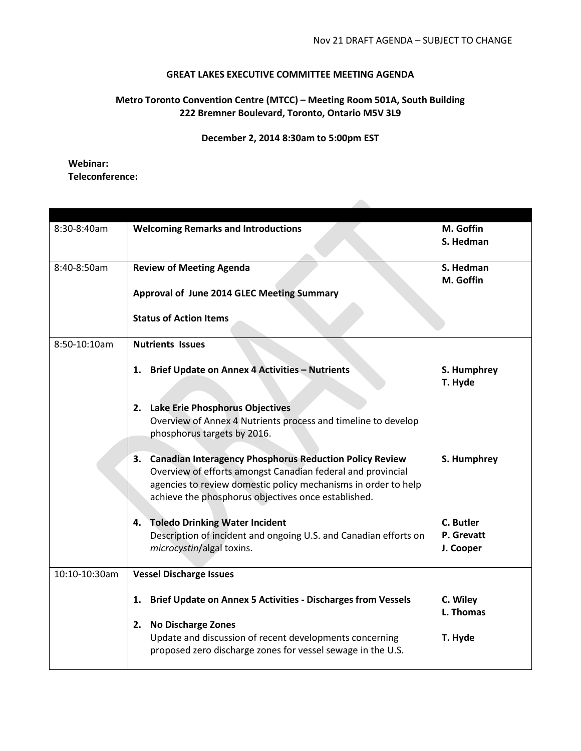## **GREAT LAKES EXECUTIVE COMMITTEE MEETING AGENDA**

## **Metro Toronto Convention Centre (MTCC) – Meeting Room 501A, South Building 222 Bremner Boulevard, Toronto, Ontario M5V 3L9**

**December 2, 2014 8:30am to 5:00pm EST**

## **Webinar: Teleconference:**

| 8:30-8:40am   | <b>Welcoming Remarks and Introductions</b>                                                                             | M. Goffin   |
|---------------|------------------------------------------------------------------------------------------------------------------------|-------------|
|               |                                                                                                                        | S. Hedman   |
|               |                                                                                                                        |             |
| 8:40-8:50am   | <b>Review of Meeting Agenda</b>                                                                                        | S. Hedman   |
|               |                                                                                                                        | M. Goffin   |
|               | <b>Approval of June 2014 GLEC Meeting Summary</b>                                                                      |             |
|               | <b>Status of Action Items</b>                                                                                          |             |
|               |                                                                                                                        |             |
| 8:50-10:10am  | <b>Nutrients Issues</b>                                                                                                |             |
|               |                                                                                                                        |             |
|               | 1. Brief Update on Annex 4 Activities - Nutrients                                                                      | S. Humphrey |
|               |                                                                                                                        | T. Hyde     |
|               |                                                                                                                        |             |
|               | 2. Lake Erie Phosphorus Objectives                                                                                     |             |
|               | Overview of Annex 4 Nutrients process and timeline to develop                                                          |             |
|               | phosphorus targets by 2016.                                                                                            |             |
|               |                                                                                                                        |             |
|               | 3. Canadian Interagency Phosphorus Reduction Policy Review                                                             | S. Humphrey |
|               | Overview of efforts amongst Canadian federal and provincial                                                            |             |
|               | agencies to review domestic policy mechanisms in order to help                                                         |             |
|               | achieve the phosphorus objectives once established.                                                                    |             |
|               |                                                                                                                        |             |
|               | <b>Toledo Drinking Water Incident</b><br>4.                                                                            | C. Butler   |
|               | Description of incident and ongoing U.S. and Canadian efforts on                                                       | P. Grevatt  |
|               | microcystin/algal toxins.                                                                                              | J. Cooper   |
|               |                                                                                                                        |             |
| 10:10-10:30am | <b>Vessel Discharge Issues</b>                                                                                         |             |
|               |                                                                                                                        |             |
|               | <b>Brief Update on Annex 5 Activities - Discharges from Vessels</b><br>1.                                              | C. Wiley    |
|               |                                                                                                                        | L. Thomas   |
|               | 2. No Discharge Zones                                                                                                  |             |
|               | Update and discussion of recent developments concerning<br>proposed zero discharge zones for vessel sewage in the U.S. | T. Hyde     |
|               |                                                                                                                        |             |
|               |                                                                                                                        |             |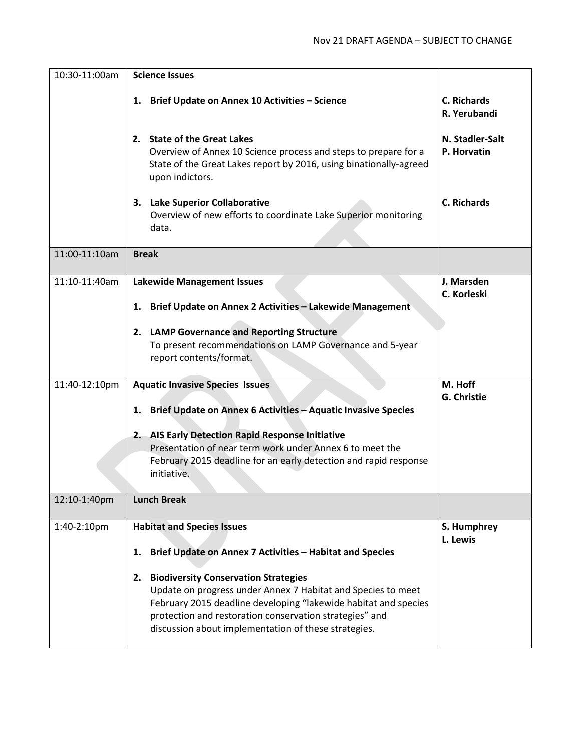| 10:30-11:00am | <b>Science Issues</b>                                                                                                                                                                                                                                                                                                                                                                                          |                                    |
|---------------|----------------------------------------------------------------------------------------------------------------------------------------------------------------------------------------------------------------------------------------------------------------------------------------------------------------------------------------------------------------------------------------------------------------|------------------------------------|
|               | 1. Brief Update on Annex 10 Activities - Science                                                                                                                                                                                                                                                                                                                                                               | <b>C. Richards</b><br>R. Yerubandi |
|               | 2. State of the Great Lakes<br>Overview of Annex 10 Science process and steps to prepare for a<br>State of the Great Lakes report by 2016, using binationally-agreed<br>upon indictors.                                                                                                                                                                                                                        | N. Stadler-Salt<br>P. Horvatin     |
|               | 3. Lake Superior Collaborative<br>Overview of new efforts to coordinate Lake Superior monitoring<br>data.                                                                                                                                                                                                                                                                                                      | <b>C. Richards</b>                 |
| 11:00-11:10am | <b>Break</b>                                                                                                                                                                                                                                                                                                                                                                                                   |                                    |
| 11:10-11:40am | <b>Lakewide Management Issues</b><br>1. Brief Update on Annex 2 Activities - Lakewide Management<br>2. LAMP Governance and Reporting Structure<br>To present recommendations on LAMP Governance and 5-year<br>report contents/format.                                                                                                                                                                          | J. Marsden<br>C. Korleski          |
|               |                                                                                                                                                                                                                                                                                                                                                                                                                |                                    |
| 11:40-12:10pm | <b>Aquatic Invasive Species Issues</b><br>1. Brief Update on Annex 6 Activities - Aquatic Invasive Species<br>2. AIS Early Detection Rapid Response Initiative<br>Presentation of near term work under Annex 6 to meet the<br>February 2015 deadline for an early detection and rapid response<br>initiative.                                                                                                  | M. Hoff<br><b>G. Christie</b>      |
| 12:10-1:40pm  | <b>Lunch Break</b>                                                                                                                                                                                                                                                                                                                                                                                             |                                    |
| 1:40-2:10pm   | <b>Habitat and Species Issues</b><br>Brief Update on Annex 7 Activities - Habitat and Species<br>1.<br><b>Biodiversity Conservation Strategies</b><br>2.<br>Update on progress under Annex 7 Habitat and Species to meet<br>February 2015 deadline developing "lakewide habitat and species<br>protection and restoration conservation strategies" and<br>discussion about implementation of these strategies. | S. Humphrey<br>L. Lewis            |